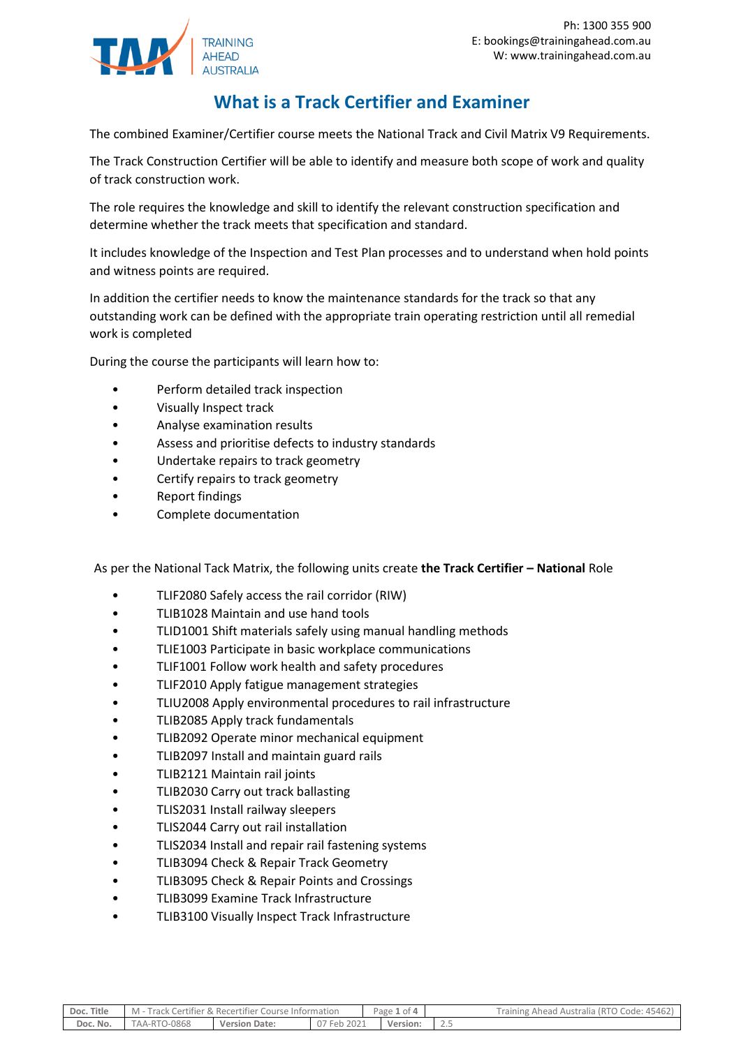

## **What is a Track Certifier and Examiner**

The combined Examiner/Certifier course meets the National Track and Civil Matrix V9 Requirements.

The Track Construction Certifier will be able to identify and measure both scope of work and quality of track construction work.

The role requires the knowledge and skill to identify the relevant construction specification and determine whether the track meets that specification and standard.

It includes knowledge of the Inspection and Test Plan processes and to understand when hold points and witness points are required.

In addition the certifier needs to know the maintenance standards for the track so that any outstanding work can be defined with the appropriate train operating restriction until all remedial work is completed

During the course the participants will learn how to:

- Perform detailed track inspection
- Visually Inspect track
- Analyse examination results
- Assess and prioritise defects to industry standards
- Undertake repairs to track geometry
- Certify repairs to track geometry
- Report findings
- Complete documentation

As per the National Tack Matrix, the following units create **the Track Certifier – National** Role

- TLIF2080 Safely access the rail corridor (RIW)
- TLIB1028 Maintain and use hand tools
- TLID1001 Shift materials safely using manual handling methods
- TLIE1003 Participate in basic workplace communications
- TLIF1001 Follow work health and safety procedures
- TLIF2010 Apply fatigue management strategies
- TLIU2008 Apply environmental procedures to rail infrastructure
- TLIB2085 Apply track fundamentals
- TLIB2092 Operate minor mechanical equipment
- TLIB2097 Install and maintain guard rails
- TLIB2121 Maintain rail joints
- TLIB2030 Carry out track ballasting
- TLIS2031 Install railway sleepers
- TLIS2044 Carry out rail installation
- TLIS2034 Install and repair rail fastening systems
- TLIB3094 Check & Repair Track Geometry
- TLIB3095 Check & Repair Points and Crossings
- TLIB3099 Examine Track Infrastructure
- TLIB3100 Visually Inspect Track Infrastructure

| Doc. Title | M - Track Certifier & Recertifier Course Information |                      | Page 1 of 4 | Training Ahead Australia (RTO Code: 45462) |  |
|------------|------------------------------------------------------|----------------------|-------------|--------------------------------------------|--|
| Doc. No.   | TAA-RTO-0868                                         | <b>Version Date:</b> | 07 Feb 2021 | <b>Version:</b>                            |  |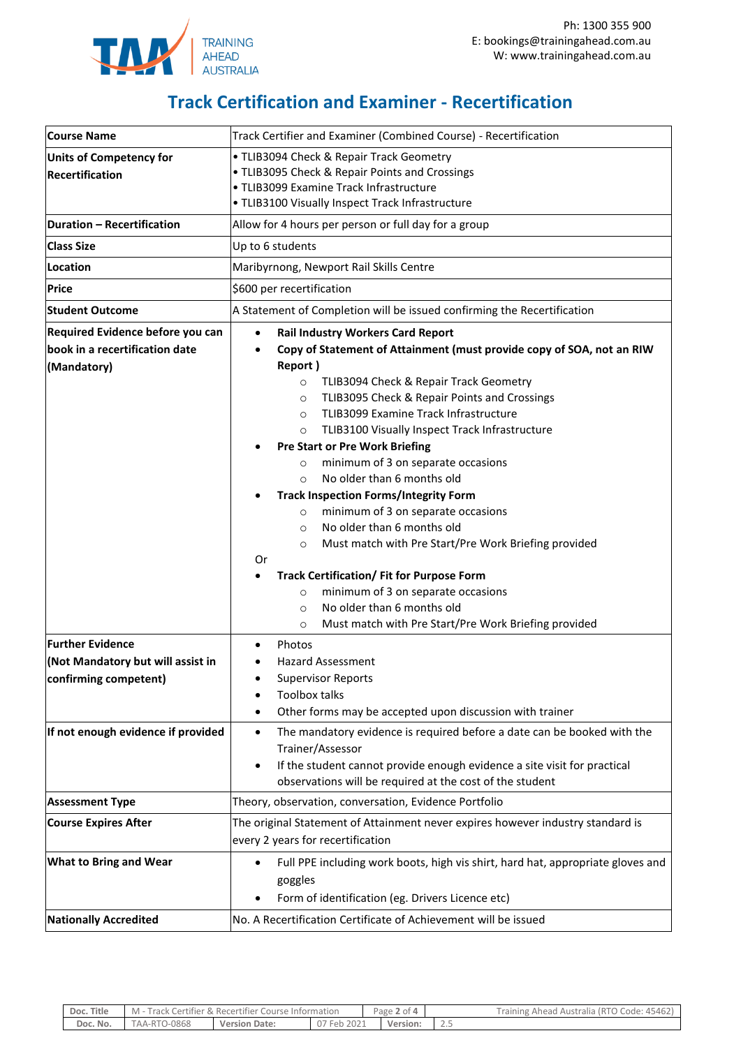

## **Track Certification and Examiner - Recertification**

| <b>Course Name</b>                 | Track Certifier and Examiner (Combined Course) - Recertification                             |  |  |  |  |  |
|------------------------------------|----------------------------------------------------------------------------------------------|--|--|--|--|--|
| <b>Units of Competency for</b>     | • TLIB3094 Check & Repair Track Geometry                                                     |  |  |  |  |  |
| <b>Recertification</b>             | • TLIB3095 Check & Repair Points and Crossings                                               |  |  |  |  |  |
|                                    | · TLIB3099 Examine Track Infrastructure<br>• TLIB3100 Visually Inspect Track Infrastructure  |  |  |  |  |  |
| <b>Duration - Recertification</b>  | Allow for 4 hours per person or full day for a group                                         |  |  |  |  |  |
|                                    |                                                                                              |  |  |  |  |  |
| <b>Class Size</b>                  | Up to 6 students                                                                             |  |  |  |  |  |
| Location                           | Maribyrnong, Newport Rail Skills Centre                                                      |  |  |  |  |  |
| <b>Price</b>                       | \$600 per recertification                                                                    |  |  |  |  |  |
| <b>Student Outcome</b>             | A Statement of Completion will be issued confirming the Recertification                      |  |  |  |  |  |
| Required Evidence before you can   | <b>Rail Industry Workers Card Report</b><br>$\bullet$                                        |  |  |  |  |  |
| book in a recertification date     | Copy of Statement of Attainment (must provide copy of SOA, not an RIW<br>$\bullet$           |  |  |  |  |  |
| (Mandatory)                        | Report)                                                                                      |  |  |  |  |  |
|                                    | TLIB3094 Check & Repair Track Geometry<br>$\circ$                                            |  |  |  |  |  |
|                                    | TLIB3095 Check & Repair Points and Crossings<br>$\circ$                                      |  |  |  |  |  |
|                                    | TLIB3099 Examine Track Infrastructure<br>$\circ$                                             |  |  |  |  |  |
|                                    | TLIB3100 Visually Inspect Track Infrastructure<br>$\circ$                                    |  |  |  |  |  |
|                                    | <b>Pre Start or Pre Work Briefing</b>                                                        |  |  |  |  |  |
|                                    | minimum of 3 on separate occasions<br>$\circ$<br>No older than 6 months old                  |  |  |  |  |  |
|                                    | $\Omega$<br><b>Track Inspection Forms/Integrity Form</b>                                     |  |  |  |  |  |
|                                    | minimum of 3 on separate occasions<br>$\circ$                                                |  |  |  |  |  |
|                                    | No older than 6 months old<br>$\circ$                                                        |  |  |  |  |  |
|                                    | Must match with Pre Start/Pre Work Briefing provided<br>$\circ$                              |  |  |  |  |  |
|                                    | Or                                                                                           |  |  |  |  |  |
|                                    | <b>Track Certification/ Fit for Purpose Form</b>                                             |  |  |  |  |  |
|                                    | minimum of 3 on separate occasions<br>$\circ$                                                |  |  |  |  |  |
|                                    | No older than 6 months old<br>$\circ$                                                        |  |  |  |  |  |
|                                    | Must match with Pre Start/Pre Work Briefing provided<br>$\circ$                              |  |  |  |  |  |
| <b>Further Evidence</b>            | Photos<br>$\bullet$                                                                          |  |  |  |  |  |
| (Not Mandatory but will assist in  | <b>Hazard Assessment</b>                                                                     |  |  |  |  |  |
| confirming competent)              | <b>Supervisor Reports</b>                                                                    |  |  |  |  |  |
|                                    | <b>Toolbox talks</b>                                                                         |  |  |  |  |  |
|                                    | Other forms may be accepted upon discussion with trainer                                     |  |  |  |  |  |
| If not enough evidence if provided | The mandatory evidence is required before a date can be booked with the<br>$\bullet$         |  |  |  |  |  |
|                                    | Trainer/Assessor                                                                             |  |  |  |  |  |
|                                    | If the student cannot provide enough evidence a site visit for practical<br>٠                |  |  |  |  |  |
|                                    | observations will be required at the cost of the student                                     |  |  |  |  |  |
| <b>Assessment Type</b>             | Theory, observation, conversation, Evidence Portfolio                                        |  |  |  |  |  |
| <b>Course Expires After</b>        | The original Statement of Attainment never expires however industry standard is              |  |  |  |  |  |
|                                    | every 2 years for recertification                                                            |  |  |  |  |  |
| <b>What to Bring and Wear</b>      | Full PPE including work boots, high vis shirt, hard hat, appropriate gloves and<br>$\bullet$ |  |  |  |  |  |
|                                    | goggles                                                                                      |  |  |  |  |  |
|                                    | Form of identification (eg. Drivers Licence etc)                                             |  |  |  |  |  |
| <b>Nationally Accredited</b>       | No. A Recertification Certificate of Achievement will be issued                              |  |  |  |  |  |

| Doc. Title | - Track Certifier & Recertifier Course Information<br>$M -$ |                      |                    | Page 2 of 4 |   | Training Ahead Australia (RTO Code: 45462) |
|------------|-------------------------------------------------------------|----------------------|--------------------|-------------|---|--------------------------------------------|
| Doc. No.   | TAA-RTO-0868                                                | <b>Version Date:</b> | Feb.<br>2021<br>U. | Version:    | ر |                                            |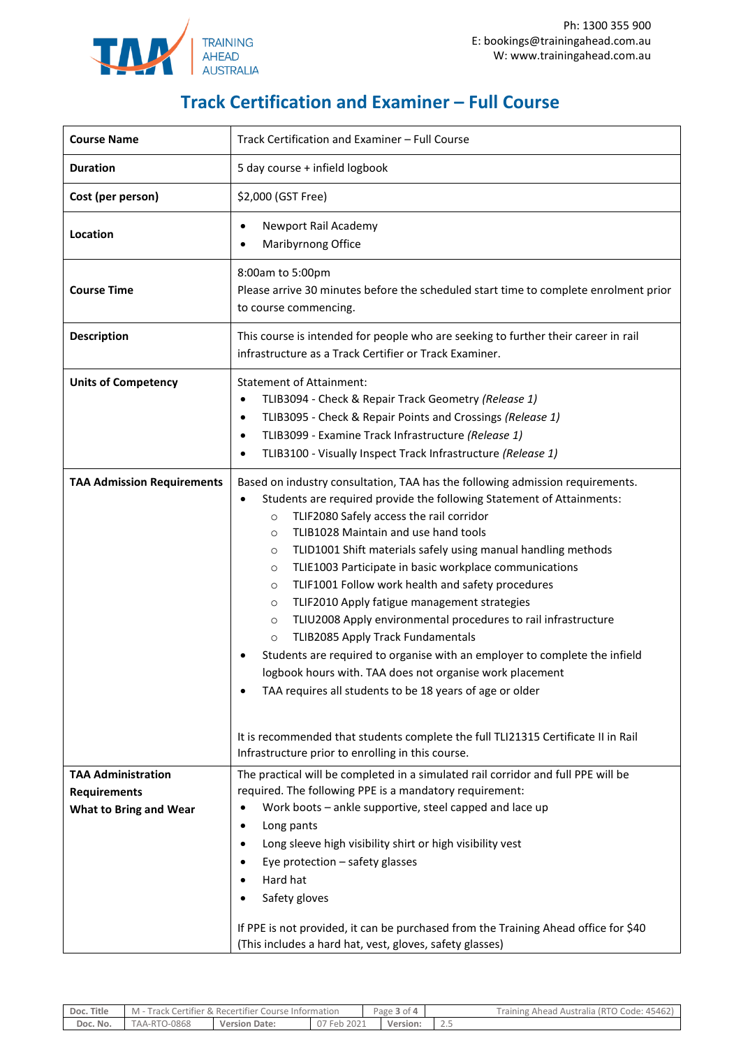

## **Track Certification and Examiner – Full Course**

| <b>Course Name</b>                                                         | Track Certification and Examiner - Full Course                                                                                                                                                                                                                                                                                                                                                                                                                                                                                                                                                                                                                                                                                                                                                                                                                                                                                                                       |  |  |  |  |
|----------------------------------------------------------------------------|----------------------------------------------------------------------------------------------------------------------------------------------------------------------------------------------------------------------------------------------------------------------------------------------------------------------------------------------------------------------------------------------------------------------------------------------------------------------------------------------------------------------------------------------------------------------------------------------------------------------------------------------------------------------------------------------------------------------------------------------------------------------------------------------------------------------------------------------------------------------------------------------------------------------------------------------------------------------|--|--|--|--|
| <b>Duration</b>                                                            | 5 day course + infield logbook                                                                                                                                                                                                                                                                                                                                                                                                                                                                                                                                                                                                                                                                                                                                                                                                                                                                                                                                       |  |  |  |  |
| Cost (per person)                                                          | \$2,000 (GST Free)                                                                                                                                                                                                                                                                                                                                                                                                                                                                                                                                                                                                                                                                                                                                                                                                                                                                                                                                                   |  |  |  |  |
| Location                                                                   | Newport Rail Academy<br>٠<br>Maribyrnong Office                                                                                                                                                                                                                                                                                                                                                                                                                                                                                                                                                                                                                                                                                                                                                                                                                                                                                                                      |  |  |  |  |
| <b>Course Time</b>                                                         | 8:00am to 5:00pm<br>Please arrive 30 minutes before the scheduled start time to complete enrolment prior<br>to course commencing.                                                                                                                                                                                                                                                                                                                                                                                                                                                                                                                                                                                                                                                                                                                                                                                                                                    |  |  |  |  |
| <b>Description</b>                                                         | This course is intended for people who are seeking to further their career in rail<br>infrastructure as a Track Certifier or Track Examiner.                                                                                                                                                                                                                                                                                                                                                                                                                                                                                                                                                                                                                                                                                                                                                                                                                         |  |  |  |  |
| <b>Units of Competency</b>                                                 | <b>Statement of Attainment:</b><br>TLIB3094 - Check & Repair Track Geometry (Release 1)<br>TLIB3095 - Check & Repair Points and Crossings (Release 1)<br>$\bullet$<br>TLIB3099 - Examine Track Infrastructure (Release 1)<br>$\bullet$<br>TLIB3100 - Visually Inspect Track Infrastructure (Release 1)<br>$\bullet$                                                                                                                                                                                                                                                                                                                                                                                                                                                                                                                                                                                                                                                  |  |  |  |  |
| <b>TAA Admission Requirements</b>                                          | Based on industry consultation, TAA has the following admission requirements.<br>Students are required provide the following Statement of Attainments:<br>TLIF2080 Safely access the rail corridor<br>$\circ$<br>TLIB1028 Maintain and use hand tools<br>$\circ$<br>TLID1001 Shift materials safely using manual handling methods<br>$\circ$<br>TLIE1003 Participate in basic workplace communications<br>$\circ$<br>TLIF1001 Follow work health and safety procedures<br>$\circ$<br>TLIF2010 Apply fatigue management strategies<br>$\circ$<br>TLIU2008 Apply environmental procedures to rail infrastructure<br>$\circ$<br>TLIB2085 Apply Track Fundamentals<br>$\circ$<br>Students are required to organise with an employer to complete the infield<br>logbook hours with. TAA does not organise work placement<br>TAA requires all students to be 18 years of age or older<br>It is recommended that students complete the full TLI21315 Certificate II in Rail |  |  |  |  |
|                                                                            | Infrastructure prior to enrolling in this course.                                                                                                                                                                                                                                                                                                                                                                                                                                                                                                                                                                                                                                                                                                                                                                                                                                                                                                                    |  |  |  |  |
| <b>TAA Administration</b><br><b>Requirements</b><br>What to Bring and Wear | The practical will be completed in a simulated rail corridor and full PPE will be<br>required. The following PPE is a mandatory requirement:<br>Work boots - ankle supportive, steel capped and lace up<br>Long pants<br>Long sleeve high visibility shirt or high visibility vest<br>Eye protection - safety glasses<br>Hard hat<br>Safety gloves                                                                                                                                                                                                                                                                                                                                                                                                                                                                                                                                                                                                                   |  |  |  |  |
|                                                                            | If PPE is not provided, it can be purchased from the Training Ahead office for \$40<br>(This includes a hard hat, vest, gloves, safety glasses)                                                                                                                                                                                                                                                                                                                                                                                                                                                                                                                                                                                                                                                                                                                                                                                                                      |  |  |  |  |

| Doc. Title | - Track Certifier & Recertifier Course Information<br>$M -$ |                      |             | Page 3 of 4 |          |       | Training Ahead Australia (RTO Code: 45462) |
|------------|-------------------------------------------------------------|----------------------|-------------|-------------|----------|-------|--------------------------------------------|
| Doc. No.   | 0-0868<br><b>AA-RT</b>                                      | <b>Version Date:</b> | 2021<br>Feb |             | Version: | ت ، ک |                                            |